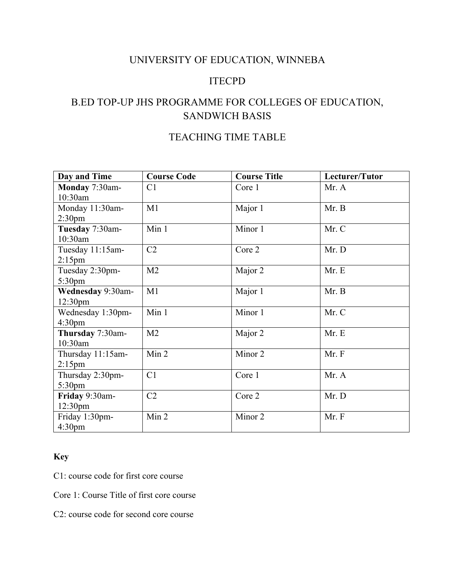### UNIVERSITY OF EDUCATION, WINNEBA

### ITECPD

## B.ED TOP-UP JHS PROGRAMME FOR COLLEGES OF EDUCATION, SANDWICH BASIS

# TEACHING TIME TABLE

| Day and Time        | <b>Course Code</b> | <b>Course Title</b> | Lecturer/Tutor |
|---------------------|--------------------|---------------------|----------------|
| Monday 7:30am-      | C1                 | Core 1              | Mr. A          |
| 10:30am             |                    |                     |                |
| Monday 11:30am-     | M1                 | Major 1             | Mr. B          |
| 2:30 <sub>pm</sub>  |                    |                     |                |
| Tuesday 7:30am-     | Min 1              | Minor 1             | Mr. C          |
| 10:30am             |                    |                     |                |
| Tuesday 11:15am-    | C2                 | Core 2              | Mr. D          |
| $2:15$ pm           |                    |                     |                |
| Tuesday 2:30pm-     | M <sub>2</sub>     | Major 2             | Mr. E          |
| 5:30 <sub>pm</sub>  |                    |                     |                |
| Wednesday 9:30am-   | M1                 | Major 1             | Mr. B          |
| 12:30 <sub>pm</sub> |                    |                     |                |
| Wednesday 1:30pm-   | Min 1              | Minor 1             | Mr. C          |
| 4:30 <sub>pm</sub>  |                    |                     |                |
| Thursday 7:30am-    | M <sub>2</sub>     | Major 2             | Mr. E          |
| 10:30am             |                    |                     |                |
| Thursday 11:15am-   | Min 2              | Minor 2             | Mr. F          |
| $2:15$ pm           |                    |                     |                |
| Thursday 2:30pm-    | C1                 | Core 1              | Mr. A          |
| 5:30 <sub>pm</sub>  |                    |                     |                |
| Friday 9:30am-      | C2                 | Core 2              | Mr. D          |
| 12:30 <sub>pm</sub> |                    |                     |                |
| Friday 1:30pm-      | Min 2              | Minor 2             | Mr. F          |
| 4:30 <sub>pm</sub>  |                    |                     |                |

#### **Key**

C1: course code for first core course

Core 1: Course Title of first core course

C2: course code for second core course